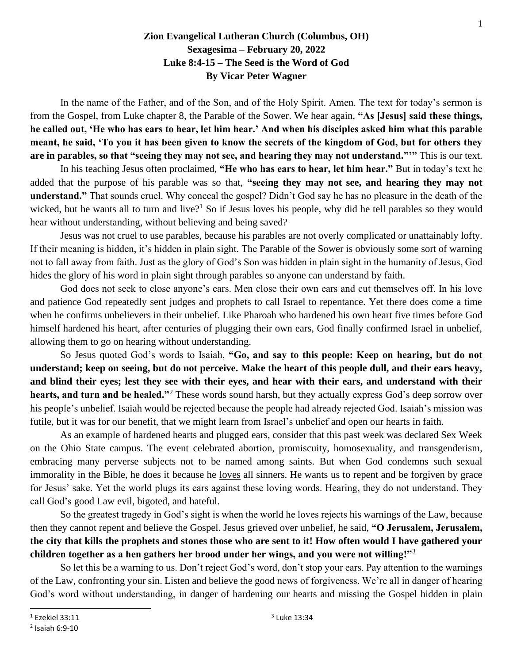## **Zion Evangelical Lutheran Church (Columbus, OH) Sexagesima – February 20, 2022 Luke 8:4-15 – The Seed is the Word of God By Vicar Peter Wagner**

In the name of the Father, and of the Son, and of the Holy Spirit. Amen. The text for today's sermon is from the Gospel, from Luke chapter 8, the Parable of the Sower. We hear again, **"As [Jesus] said these things, he called out, 'He who has ears to hear, let him hear.' And when his disciples asked him what this parable meant, he said, 'To you it has been given to know the secrets of the kingdom of God, but for others they are in parables, so that "seeing they may not see, and hearing they may not understand."'"** This is our text.

In his teaching Jesus often proclaimed, **"He who has ears to hear, let him hear."** But in today's text he added that the purpose of his parable was so that, **"seeing they may not see, and hearing they may not understand."** That sounds cruel. Why conceal the gospel? Didn't God say he has no pleasure in the death of the wicked, but he wants all to turn and live?<sup>1</sup> So if Jesus loves his people, why did he tell parables so they would hear without understanding, without believing and being saved?

Jesus was not cruel to use parables, because his parables are not overly complicated or unattainably lofty. If their meaning is hidden, it's hidden in plain sight. The Parable of the Sower is obviously some sort of warning not to fall away from faith. Just as the glory of God's Son was hidden in plain sight in the humanity of Jesus, God hides the glory of his word in plain sight through parables so anyone can understand by faith.

God does not seek to close anyone's ears. Men close their own ears and cut themselves off. In his love and patience God repeatedly sent judges and prophets to call Israel to repentance. Yet there does come a time when he confirms unbelievers in their unbelief. Like Pharoah who hardened his own heart five times before God himself hardened his heart, after centuries of plugging their own ears, God finally confirmed Israel in unbelief, allowing them to go on hearing without understanding.

So Jesus quoted God's words to Isaiah, **"Go, and say to this people: Keep on hearing, but do not understand; keep on seeing, but do not perceive. Make the heart of this people dull, and their ears heavy, and blind their eyes; lest they see with their eyes, and hear with their ears, and understand with their hearts, and turn and be healed."**<sup>2</sup> These words sound harsh, but they actually express God's deep sorrow over his people's unbelief. Isaiah would be rejected because the people had already rejected God. Isaiah's mission was futile, but it was for our benefit, that we might learn from Israel's unbelief and open our hearts in faith.

As an example of hardened hearts and plugged ears, consider that this past week was declared Sex Week on the Ohio State campus. The event celebrated abortion, promiscuity, homosexuality, and transgenderism, embracing many perverse subjects not to be named among saints. But when God condemns such sexual immorality in the Bible, he does it because he loves all sinners. He wants us to repent and be forgiven by grace for Jesus' sake. Yet the world plugs its ears against these loving words. Hearing, they do not understand. They call God's good Law evil, bigoted, and hateful.

So the greatest tragedy in God's sight is when the world he loves rejects his warnings of the Law, because then they cannot repent and believe the Gospel. Jesus grieved over unbelief, he said, **"O Jerusalem, Jerusalem, the city that kills the prophets and stones those who are sent to it! How often would I have gathered your children together as a hen gathers her brood under her wings, and you were not willing!"**<sup>3</sup>

So let this be a warning to us. Don't reject God's word, don't stop your ears. Pay attention to the warnings of the Law, confronting your sin. Listen and believe the good news of forgiveness. We're all in danger of hearing God's word without understanding, in danger of hardening our hearts and missing the Gospel hidden in plain

 $1$  Ezekiel 33:11

<sup>2</sup> Isaiah 6:9-10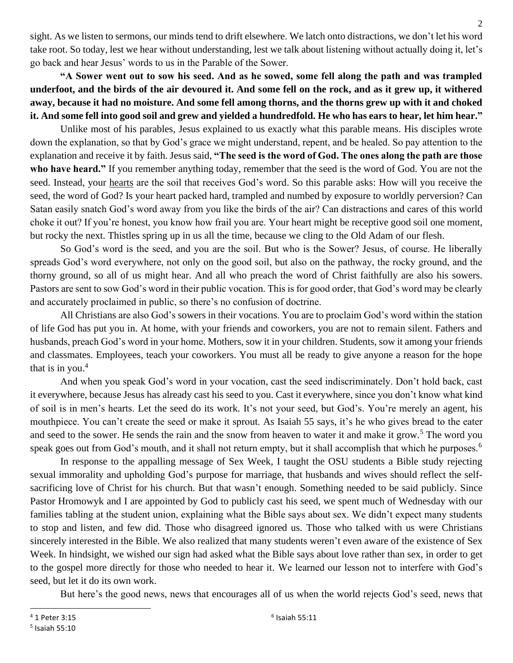sight. As we listen to sermons, our minds tend to drift elsewhere. We latch onto distractions, we don't let his word take root. So today, lest we hear without understanding, lest we talk about listening without actually doing it, let's go back and hear Jesus' words to us in the Parable of the Sower.

**"A Sower went out to sow his seed. And as he sowed, some fell along the path and was trampled underfoot, and the birds of the air devoured it. And some fell on the rock, and as it grew up, it withered away, because it had no moisture. And some fell among thorns, and the thorns grew up with it and choked it. And some fell into good soil and grew and yielded a hundredfold. He who has ears to hear, let him hear."**

Unlike most of his parables, Jesus explained to us exactly what this parable means. His disciples wrote down the explanation, so that by God's grace we might understand, repent, and be healed. So pay attention to the explanation and receive it by faith. Jesus said, **"The seed is the word of God. The ones along the path are those who have heard."** If you remember anything today, remember that the seed is the word of God. You are not the seed. Instead, your hearts are the soil that receives God's word. So this parable asks: How will you receive the seed, the word of God? Is your heart packed hard, trampled and numbed by exposure to worldly perversion? Can Satan easily snatch God's word away from you like the birds of the air? Can distractions and cares of this world choke it out? If you're honest, you know how frail you are. Your heart might be receptive good soil one moment, but rocky the next. Thistles spring up in us all the time, because we cling to the Old Adam of our flesh.

So God's word is the seed, and you are the soil. But who is the Sower? Jesus, of course. He liberally spreads God's word everywhere, not only on the good soil, but also on the pathway, the rocky ground, and the thorny ground, so all of us might hear. And all who preach the word of Christ faithfully are also his sowers. Pastors are sent to sow God's word in their public vocation. This is for good order, that God's word may be clearly and accurately proclaimed in public, so there's no confusion of doctrine.

All Christians are also God's sowers in their vocations. You are to proclaim God's word within the station of life God has put you in. At home, with your friends and coworkers, you are not to remain silent. Fathers and husbands, preach God's word in your home. Mothers, sow it in your children. Students, sow it among your friends and classmates. Employees, teach your coworkers. You must all be ready to give anyone a reason for the hope that is in you. $4$ 

And when you speak God's word in your vocation, cast the seed indiscriminately. Don't hold back, cast it everywhere, because Jesus has already cast his seed to you. Cast it everywhere, since you don't know what kind of soil is in men's hearts. Let the seed do its work. It's not your seed, but God's. You're merely an agent, his mouthpiece. You can't create the seed or make it sprout. As Isaiah 55 says, it's he who gives bread to the eater and seed to the sower. He sends the rain and the snow from heaven to water it and make it grow.<sup>5</sup> The word you speak goes out from God's mouth, and it shall not return empty, but it shall accomplish that which he purposes.<sup>6</sup>

In response to the appalling message of Sex Week, I taught the OSU students a Bible study rejecting sexual immorality and upholding God's purpose for marriage, that husbands and wives should reflect the selfsacrificing love of Christ for his church. But that wasn't enough. Something needed to be said publicly. Since Pastor Hromowyk and I are appointed by God to publicly cast his seed, we spent much of Wednesday with our families tabling at the student union, explaining what the Bible says about sex. We didn't expect many students to stop and listen, and few did. Those who disagreed ignored us. Those who talked with us were Christians sincerely interested in the Bible. We also realized that many students weren't even aware of the existence of Sex Week. In hindsight, we wished our sign had asked what the Bible says about love rather than sex, in order to get to the gospel more directly for those who needed to hear it. We learned our lesson not to interfere with God's seed, but let it do its own work.

But here's the good news, news that encourages all of us when the world rejects God's seed, news that

<sup>4</sup> 1 Peter 3:15

<sup>5</sup> Isaiah 55:10